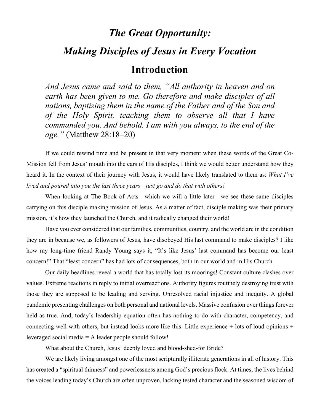## *The Great Opportunity:*

## *Making Disciples of Jesus in Every Vocation*

## **Introduction**

*And Jesus came and said to them, "All authority in heaven and on earth has been given to me. Go therefore and make disciples of all nations, baptizing them in the name of the Father and of the Son and of the Holy Spirit, teaching them to observe all that I have commanded you. And behold, I am with you always, to the end of the age."* (Matthew 28:18–20)

If we could rewind time and be present in that very moment when these words of the Great Co-Mission fell from Jesus' mouth into the ears of His disciples, I think we would better understand how they heard it. In the context of their journey with Jesus, it would have likely translated to them as: *What I've lived and poured into you the last three years—just go and do that with others!*

When looking at The Book of Acts—which we will a little later—we see these same disciples carrying on this disciple making mission of Jesus. As a matter of fact, disciple making was their primary mission, it's how they launched the Church, and it radically changed their world!

Have you ever considered that our families, communities, country, and the world are in the condition they are in because we, as followers of Jesus, have disobeyed His last command to make disciples? I like how my long-time friend Randy Young says it, "It's like Jesus' last command has become our least concern!" That "least concern" has had lots of consequences, both in our world and in His Church.

Our daily headlines reveal a world that has totally lost its moorings! Constant culture clashes over values. Extreme reactions in reply to initial overreactions. Authority figures routinely destroying trust with those they are supposed to be leading and serving. Unresolved racial injustice and inequity. A global pandemic presenting challenges on both personal and national levels. Massive confusion over things forever held as true. And, today's leadership equation often has nothing to do with character, competency, and connecting well with others, but instead looks more like this: Little experience + lots of loud opinions + leveraged social media = A leader people should follow!

What about the Church, Jesus' deeply loved and blood-shed-for Bride?

We are likely living amongst one of the most scripturally illiterate generations in all of history. This has created a "spiritual thinness" and powerlessness among God's precious flock. At times, the lives behind the voices leading today's Church are often unproven, lacking tested character and the seasoned wisdom of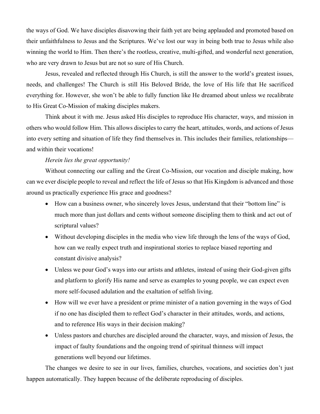the ways of God. We have disciples disavowing their faith yet are being applauded and promoted based on their unfaithfulness to Jesus and the Scriptures. We've lost our way in being both true to Jesus while also winning the world to Him. Then there's the rootless, creative, multi-gifted, and wonderful next generation, who are very drawn to Jesus but are not so sure of His Church.

Jesus, revealed and reflected through His Church, is still the answer to the world's greatest issues, needs, and challenges! The Church is still His Beloved Bride, the love of His life that He sacrificed everything for. However, she won't be able to fully function like He dreamed about unless we recalibrate to His Great Co-Mission of making disciples makers.

Think about it with me. Jesus asked His disciples to reproduce His character, ways, and mission in others who would follow Him. This allows disciples to carry the heart, attitudes, words, and actions of Jesus into every setting and situation of life they find themselves in. This includes their families, relationships and within their vocations!

## *Herein lies the great opportunity!*

Without connecting our calling and the Great Co-Mission, our vocation and disciple making, how can we ever disciple people to reveal and reflect the life of Jesus so that His Kingdom is advanced and those around us practically experience His grace and goodness?

- How can a business owner, who sincerely loves Jesus, understand that their "bottom line" is much more than just dollars and cents without someone discipling them to think and act out of scriptural values?
- Without developing disciples in the media who view life through the lens of the ways of God, how can we really expect truth and inspirational stories to replace biased reporting and constant divisive analysis?
- Unless we pour God's ways into our artists and athletes, instead of using their God-given gifts and platform to glorify His name and serve as examples to young people, we can expect even more self-focused adulation and the exaltation of selfish living.
- How will we ever have a president or prime minister of a nation governing in the ways of God if no one has discipled them to reflect God's character in their attitudes, words, and actions, and to reference His ways in their decision making?
- Unless pastors and churches are discipled around the character, ways, and mission of Jesus, the impact of faulty foundations and the ongoing trend of spiritual thinness will impact generations well beyond our lifetimes.

The changes we desire to see in our lives, families, churches, vocations, and societies don't just happen automatically. They happen because of the deliberate reproducing of disciples.